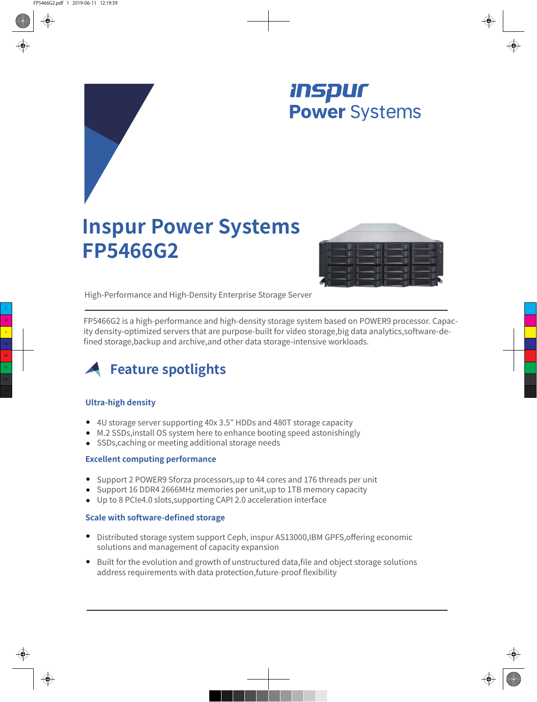

# **Inspur Power Systems FP5466G2**



High-Performance and High-Density Enterprise Storage Server

FP5466G2 is a high-performance and high-density storage system based on POWER9 processor. Capacity density-optimized servers that are purpose-built for video storage,big data analytics,software-defined storage,backup and archive,and other data storage-intensive workloads.



### **Ultra-high density**

- 4U storage server supporting 40x 3.5″ HDDs and 480T storage capacity
- M.2 SSDs,install OS system here to enhance booting speed astonishingly
- SSDs, caching or meeting additional storage needs

#### **Excellent computing performance**

- Support 2 POWER9 Sforza processors,up to 44 cores and 176 threads per unit
- Support 16 DDR4 2666MHz memories per unit,up to 1TB memory capacity
- Up to 8 PCIe4.0 slots,supporting CAPI 2.0 acceleration interface

#### **Scale with software-defined storage**

- Distributed storage system support Ceph, inspur AS13000,IBM GPFS,offering economic solutions and management of capacity expansion
- Built for the evolution and growth of unstructured data, file and object storage solutions address requirements with data protection,future-proof flexibility